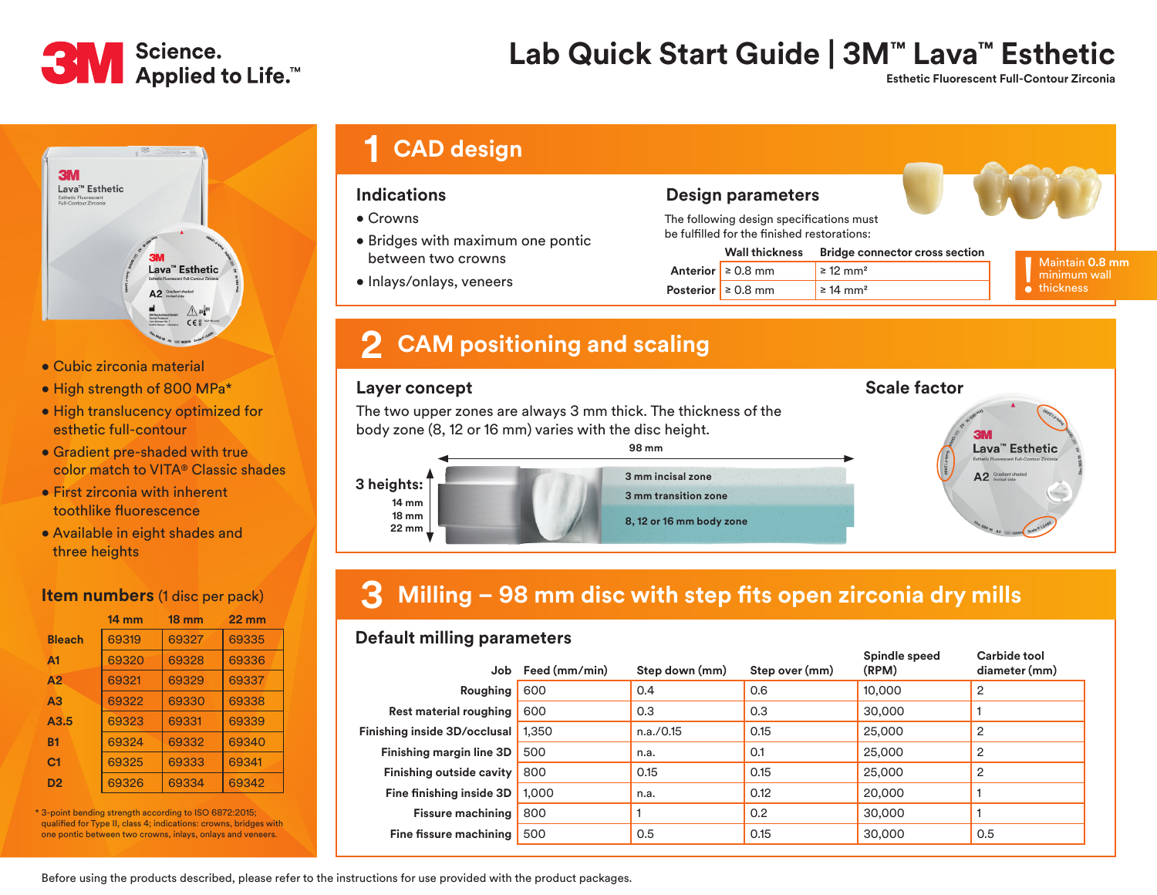

## **Lab Quick Start Guide | 3M™ Lava™ Esthetic**

 **Esthetic Fluorescent Full-Contour Zirconia**

**Carbide tool** 



- Cubic zirconia material
- High strength of 800 MPa\*
- High translucency optimized for esthetic full-contour
- Gradient pre-shaded with true color match to VITA® Classic shades
- First zirconia with inherent toothlike fluorescence
- Available in eight shades and three heights

### **Item numbers** (1 disc per pack)

|                | $14 \text{ mm}$ | $18 \text{ mm}$ | $22 \text{ mm}$ |
|----------------|-----------------|-----------------|-----------------|
| <b>Bleach</b>  | 69319           | 69327           | 69335           |
| A <sub>1</sub> | 69320           | 69328           | 69336           |
| A2             | 69321           | 69329           | 69337           |
| A3             | 69322           | 69330           | 69338           |
| A3.5           | 69323           | 69331           | 69339           |
| <b>B1</b>      | 69324           | 69332           | 69340           |
| C <sub>1</sub> | 69325           | 69333           | 69341           |
| D <sub>2</sub> | 69326           | 69334           | 69342           |

\* 3-point bending strength according to ISO 6872:2015; qualified for Type II, class 4; indications: crowns, bridges with one pontic between two crowns, inlays, onlays and veneers.

| <b>1 CAD design</b> |
|---------------------|
|---------------------|

### **Indications**

- Crowns
- Bridges with maximum one pontic between two crowns
- Inlays/onlays, veneers

### **Design parameters**

The following design specifications must be fulfilled for the finished restorations:

| <b>Wall thickness</b>   | <b>Bridge connector cross section</b> | Maintain 0.8 mm     |  |
|-------------------------|---------------------------------------|---------------------|--|
| Anterior $\geq 0.8$ mm  | $\geq$ 12 mm <sup>2</sup>             | minimum wall        |  |
| Posterior $\geq 0.8$ mm | $\geq 14$ mm <sup>2</sup>             | $\bullet$ thickness |  |

**Scale factor**

## **2 CAM positioning and scaling**

### **Layer concept**

The two upper zones are always 3 mm thick. The thickness of the body zone (8, 12 or 16 mm) varies with the disc height.



#### **3 Milling – 98 mm disc with step fits open zirconia dry mills**

### **Default milling parameters**

| Job                             | Feed (mm/min) | Step down (mm) | Step over (mm) | Spindle speed<br>(RPM) | Carbide tool<br>diameter (mm) |
|---------------------------------|---------------|----------------|----------------|------------------------|-------------------------------|
| Roughing                        | 600           | 0.4            | 0.6            | 10,000                 | $\overline{2}$                |
| <b>Rest material roughing</b>   | 600           | 0.3            | 0.3            | 30,000                 |                               |
| Finishing inside 3D/occlusal    | 1.350         | n.a./0.15      | 0.15           | 25,000                 | $\overline{2}$                |
| Finishing margin line 3D        | 500           | n.a.           | 0.1            | 25,000                 | $\overline{2}$                |
| <b>Finishing outside cavity</b> | 800           | 0.15           | 0.15           | 25,000                 | $\overline{2}$                |
| Fine finishing inside 3D        | 1.000         | n.a.           | 0.12           | 20,000                 |                               |
| <b>Fissure machining</b>        | 800           |                | 0.2            | 30,000                 |                               |
| Fine fissure machining          | 500           | 0.5            | 0.15           | 30,000                 | 0.5                           |

Before using the products described, please refer to the instructions for use provided with the product packages.